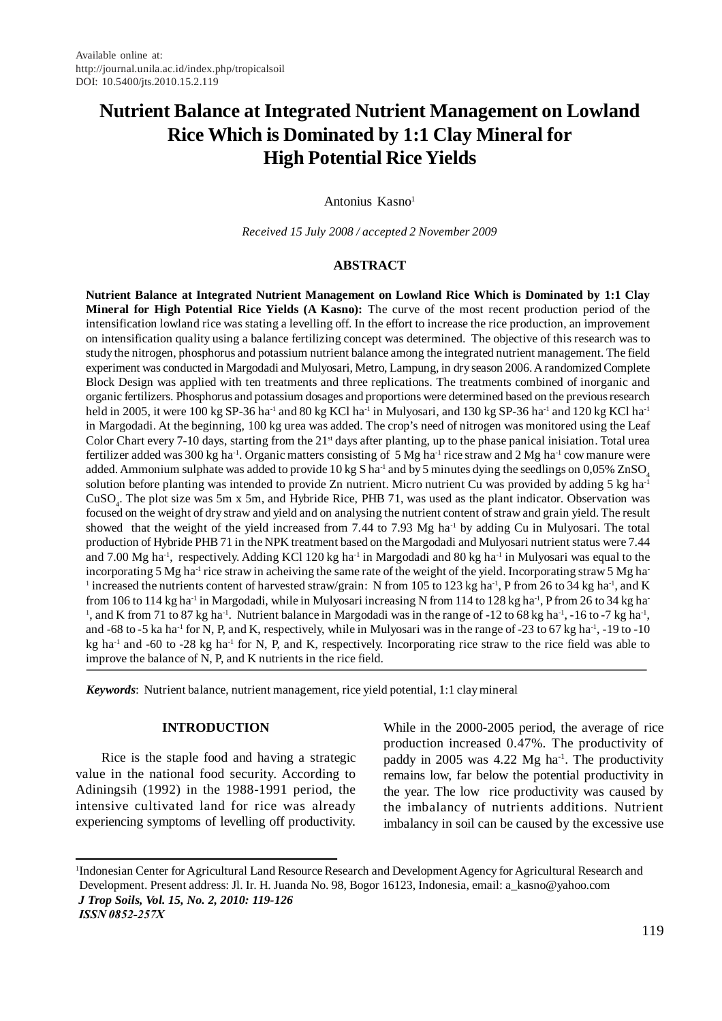# **Nutrient Balance at Integrated Nutrient Management on Lowland Rice Which is Dominated by 1:1 Clay Mineral for High Potential Rice Yields**

Antonius Kasno<sup>1</sup>

*Received 15 July 2008 / accepted 2 November 2009*

### **ABSTRACT**

**Nutrient Balance at Integrated Nutrient Management on Lowland Rice Which is Dominated by 1:1 Clay Mineral for High Potential Rice Yields (A Kasno):** The curve of the most recent production period of the intensification lowland rice was stating a levelling off. In the effort to increase the rice production, an improvement on intensification quality using a balance fertilizing concept was determined. The objective of this research was to study the nitrogen, phosphorus and potassium nutrient balance among the integrated nutrient management. The field experiment was conducted in Margodadi and Mulyosari, Metro, Lampung, in dry season 2006. A randomized Complete Block Design was applied with ten treatments and three replications. The treatments combined of inorganic and organic fertilizers. Phosphorus and potassium dosages and proportions were determined based on the previous research held in 2005, it were 100 kg SP-36 ha<sup>-1</sup> and 80 kg KCl ha<sup>-1</sup> in Mulyosari, and 130 kg SP-36 ha<sup>-1</sup> and 120 kg KCl ha<sup>-1</sup> in Margodadi. At the beginning, 100 kg urea was added. The crop's need of nitrogen was monitored using the Leaf Color Chart every 7-10 days, starting from the  $21<sup>st</sup>$  days after planting, up to the phase panical inisiation. Total urea fertilizer added was 300 kg ha<sup>-1</sup>. Organic matters consisting of 5 Mg ha<sup>-1</sup> rice straw and 2 Mg ha<sup>-1</sup> cow manure were added. Ammonium sulphate was added to provide  $10 \text{ kg S}$  ha<sup>-1</sup> and by 5 minutes dying the seedlings on 0,05% ZnSO<sub>4</sub> solution before planting was intended to provide Zn nutrient. Micro nutrient Cu was provided by adding 5 kg ha<sup>-1</sup> CuSO<sub>4</sub>. The plot size was 5m x 5m, and Hybride Rice, PHB 71, was used as the plant indicator. Observation was focused on the weight of dry straw and yield and on analysing the nutrient content of straw and grain yield. The result showed that the weight of the yield increased from 7.44 to 7.93 Mg ha<sup>-1</sup> by adding Cu in Mulyosari. The total production of Hybride PHB 71 in the NPK treatment based on the Margodadi and Mulyosari nutrient status were 7.44 and 7.00 Mg ha<sup>-1</sup>, respectively. Adding KCl 120 kg ha<sup>-1</sup> in Margodadi and 80 kg ha<sup>-1</sup> in Mulyosari was equal to the incorporating 5 Mg ha<sup>-1</sup> rice straw in acheiving the same rate of the weight of the yield. Incorporating straw 5 Mg ha-<sup>1</sup> increased the nutrients content of harvested straw/grain: N from 105 to 123 kg ha<sup>-1</sup>, P from 26 to 34 kg ha<sup>-1</sup>, and K from 106 to 114 kg ha<sup>-1</sup> in Margodadi, while in Mulyosari increasing N from 114 to 128 kg ha<sup>-1</sup>, P from 26 to 34 kg ha<sup>-1</sup> <sup>1</sup>, and K from 71 to 87 kg ha<sup>-1</sup>. Nutrient balance in Margodadi was in the range of  $-12$  to 68 kg ha<sup>-1</sup>,  $-16$  to  $-7$  kg ha<sup>-1</sup>, and -68 to -5 ka ha<sup>-1</sup> for N, P, and K, respectively, while in Mulyosari was in the range of -23 to 67 kg ha<sup>-1</sup>, -19 to -10 kg ha<sup>-1</sup> and -60 to -28 kg ha<sup>-1</sup> for N, P, and K, respectively. Incorporating rice straw to the rice field was able to improve the balance of N, P, and K nutrients in the rice field.

*Keywords*: Nutrient balance, nutrient management, rice yield potential, 1:1 clay mineral

## **INTRODUCTION**

Rice is the staple food and having a strategic value in the national food security. According to Adiningsih (1992) in the 1988-1991 period, the intensive cultivated land for rice was already experiencing symptoms of levelling off productivity. While in the 2000-2005 period, the average of rice production increased 0.47%. The productivity of paddy in 2005 was 4.22 Mg ha<sup>-1</sup>. The productivity remains low, far below the potential productivity in the year. The low rice productivity was caused by the imbalancy of nutrients additions. Nutrient imbalancy in soil can be caused by the excessive use

<sup>1</sup> Indonesian Center for Agricultural Land Resource Research and Development Agency for Agricultural Research and Development. Present address: Jl. Ir. H. Juanda No. 98, Bogor 16123, Indonesia, email: a\_kasno@yahoo.com  *J Trop Soils, Vol. 15, No. 2, 2010: 119-126 ISSN 0852-257X*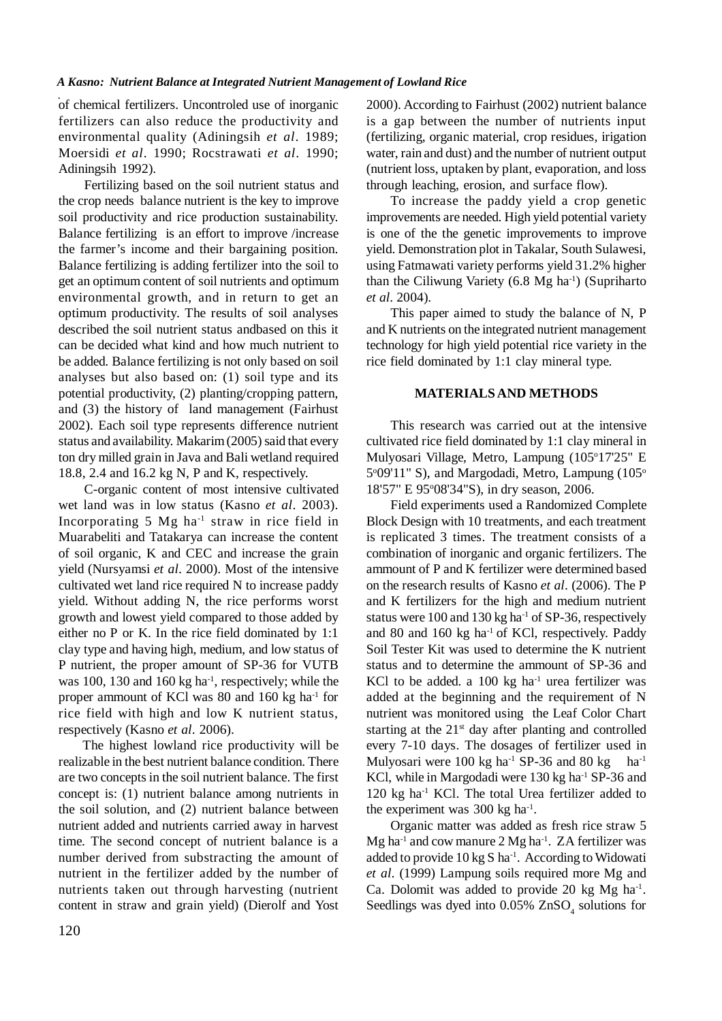of chemical fertilizers. Uncontroled use of inorganic fertilizers can also reduce the productivity and environmental quality (Adiningsih *et al*. 1989; Moersidi *et al*. 1990; Rocstrawati *et al*. 1990; Adiningsih 1992).

Fertilizing based on the soil nutrient status and the crop needs balance nutrient is the key to improve soil productivity and rice production sustainability. Balance fertilizing is an effort to improve /increase the farmer's income and their bargaining position. Balance fertilizing is adding fertilizer into the soil to get an optimum content of soil nutrients and optimum environmental growth, and in return to get an optimum productivity. The results of soil analyses described the soil nutrient status andbased on this it can be decided what kind and how much nutrient to be added. Balance fertilizing is not only based on soil analyses but also based on: (1) soil type and its potential productivity, (2) planting/cropping pattern, and (3) the history of land management (Fairhust 2002). Each soil type represents difference nutrient status and availability. Makarim (2005) said that every ton dry milled grain in Java and Bali wetland required 18.8, 2.4 and 16.2 kg N, P and K, respectively.

C-organic content of most intensive cultivated wet land was in low status (Kasno *et al*. 2003). Incorporating 5 Mg ha-1 straw in rice field in Muarabeliti and Tatakarya can increase the content of soil organic, K and CEC and increase the grain yield (Nursyamsi *et al*. 2000). Most of the intensive cultivated wet land rice required N to increase paddy yield. Without adding N, the rice performs worst growth and lowest yield compared to those added by either no P or K. In the rice field dominated by 1:1 clay type and having high, medium, and low status of P nutrient, the proper amount of SP-36 for VUTB was 100, 130 and 160 kg ha<sup>-1</sup>, respectively; while the proper ammount of KCl was 80 and 160 kg ha-1 for rice field with high and low K nutrient status, respectively (Kasno *et al*. 2006).

The highest lowland rice productivity will be realizable in the best nutrient balance condition. There are two concepts in the soil nutrient balance. The first concept is: (1) nutrient balance among nutrients in the soil solution, and (2) nutrient balance between nutrient added and nutrients carried away in harvest time. The second concept of nutrient balance is a number derived from substracting the amount of nutrient in the fertilizer added by the number of nutrients taken out through harvesting (nutrient content in straw and grain yield) (Dierolf and Yost

2000). According to Fairhust (2002) nutrient balance is a gap between the number of nutrients input (fertilizing, organic material, crop residues, irigation water, rain and dust) and the number of nutrient output (nutrient loss, uptaken by plant, evaporation, and loss through leaching, erosion, and surface flow).

To increase the paddy yield a crop genetic improvements are needed. High yield potential variety is one of the the genetic improvements to improve yield. Demonstration plot in Takalar, South Sulawesi, using Fatmawati variety performs yield 31.2% higher than the Ciliwung Variety  $(6.8 \text{ Mg} \text{ ha}^{-1})$  (Supriharto *et al*. 2004).

This paper aimed to study the balance of N, P and K nutrients on the integrated nutrient management technology for high yield potential rice variety in the rice field dominated by 1:1 clay mineral type.

## **MATERIALS AND METHODS**

This research was carried out at the intensive cultivated rice field dominated by 1:1 clay mineral in Mulyosari Village, Metro, Lampung (105°17'25" E 5°09'11" S), and Margodadi, Metro, Lampung (105° 18'57" E 95°08'34"S), in dry season, 2006.

Field experiments used a Randomized Complete Block Design with 10 treatments, and each treatment is replicated 3 times. The treatment consists of a combination of inorganic and organic fertilizers. The ammount of P and K fertilizer were determined based on the research results of Kasno *et al*. (2006). The P and K fertilizers for the high and medium nutrient status were  $100$  and  $130$  kg ha<sup>-1</sup> of SP-36, respectively and 80 and 160 kg ha-1 of KCl, respectively. Paddy Soil Tester Kit was used to determine the K nutrient status and to determine the ammount of SP-36 and KCl to be added. a  $100 \text{ kg}$  ha<sup>-1</sup> urea fertilizer was added at the beginning and the requirement of N nutrient was monitored using the Leaf Color Chart starting at the  $21<sup>st</sup>$  day after planting and controlled every 7-10 days. The dosages of fertilizer used in Mulyosari were 100 kg ha<sup>-1</sup> SP-36 and 80 kg ha<sup>-1</sup> KCl, while in Margodadi were 130 kg ha<sup>-1</sup> SP-36 and  $120 \text{ kg}$  ha<sup>-1</sup> KCl. The total Urea fertilizer added to the experiment was 300 kg ha-1 .

Organic matter was added as fresh rice straw 5  $Mg$  ha<sup>-1</sup> and cow manure 2  $Mg$  ha<sup>-1</sup>. ZA fertilizer was added to provide  $10 \text{ kg S} \text{ ha}^{-1}$ . According to Widowati *et al*. (1999) Lampung soils required more Mg and Ca. Dolomit was added to provide 20 kg Mg ha-1 . Seedlings was dyed into  $0.05\%$  ZnSO<sub>4</sub> solutions for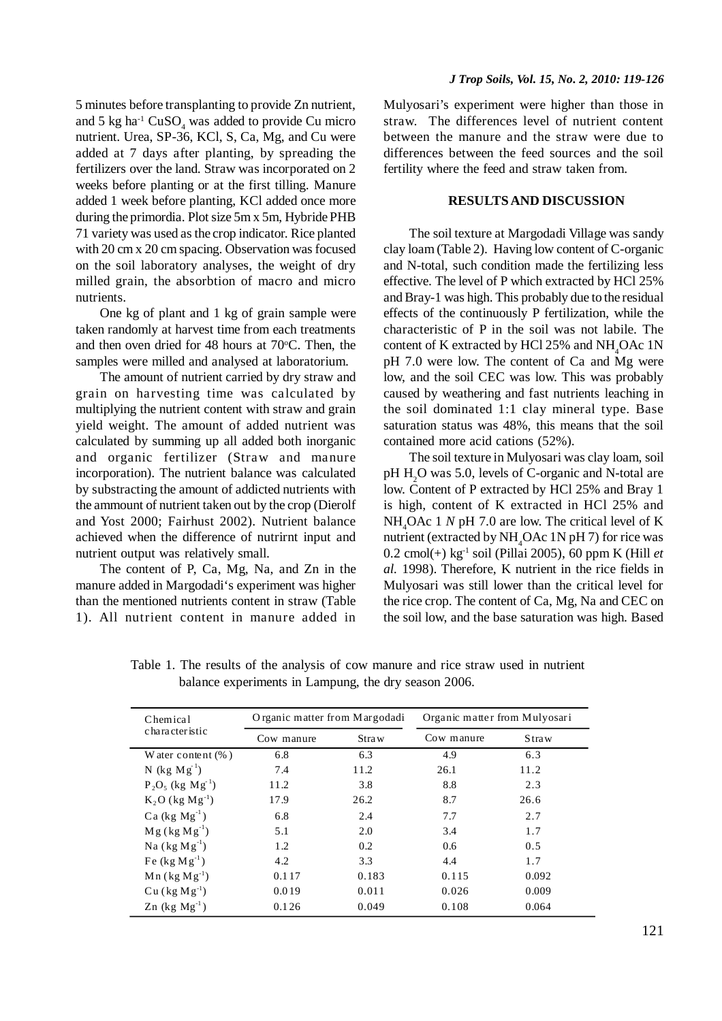5 minutes before transplanting to provide Zn nutrient, and 5 kg ha<sup>-1</sup> CuSO<sub>4</sub> was added to provide Cu micro nutrient. Urea, SP-36, KCl, S, Ca, Mg, and Cu were added at 7 days after planting, by spreading the fertilizers over the land. Straw was incorporated on 2 weeks before planting or at the first tilling. Manure added 1 week before planting, KCl added once more during the primordia. Plot size 5m x 5m, Hybride PHB 71 variety was used as the crop indicator. Rice planted with 20 cm x 20 cm spacing. Observation was focused on the soil laboratory analyses, the weight of dry milled grain, the absorbtion of macro and micro nutrients.

One kg of plant and 1 kg of grain sample were taken randomly at harvest time from each treatments and then oven dried for 48 hours at  $70^{\circ}$ C. Then, the samples were milled and analysed at laboratorium.

The amount of nutrient carried by dry straw and grain on harvesting time was calculated by multiplying the nutrient content with straw and grain yield weight. The amount of added nutrient was calculated by summing up all added both inorganic and organic fertilizer (Straw and manure incorporation). The nutrient balance was calculated by substracting the amount of addicted nutrients with the ammount of nutrient taken out by the crop (Dierolf and Yost 2000; Fairhust 2002). Nutrient balance achieved when the difference of nutrirnt input and nutrient output was relatively small.

The content of P, Ca, Mg, Na, and Zn in the manure added in Margodadi's experiment was higher than the mentioned nutrients content in straw (Table 1). All nutrient content in manure added in

Mulyosari's experiment were higher than those in straw. The differences level of nutrient content between the manure and the straw were due to differences between the feed sources and the soil fertility where the feed and straw taken from.

## **RESULTS AND DISCUSSION**

The soil texture at Margodadi Village was sandy clay loam (Table 2). Having low content of C-organic and N-total, such condition made the fertilizing less effective. The level of P which extracted by HCl 25% and Bray-1 was high. This probably due to the residual effects of the continuously P fertilization, while the characteristic of P in the soil was not labile. The content of K extracted by HCl 25% and NH<sub>4</sub>OAc 1N pH 7.0 were low. The content of Ca and Mg were low, and the soil CEC was low. This was probably caused by weathering and fast nutrients leaching in the soil dominated 1:1 clay mineral type. Base saturation status was 48%, this means that the soil contained more acid cations (52%).

The soil texture in Mulyosari was clay loam, soil pH H<sub>2</sub>O was 5.0, levels of C-organic and N-total are low. Content of P extracted by HCl 25% and Bray 1 is high, content of K extracted in HCl 25% and NH<sub>4</sub>OAc 1 *N* pH 7.0 are low. The critical level of K nutrient (extracted by  $NH_4$ OAc 1N pH 7) for rice was 0.2 cmol(+) kg-1 soil (Pillai 2005), 60 ppm K (Hill *et al.* 1998). Therefore, K nutrient in the rice fields in Mulyosari was still lower than the critical level for the rice crop. The content of Ca, Mg, Na and CEC on the soil low, and the base saturation was high. Based

| Chemical                        |            | Organic matter from Margodadi<br>Organic matter from Mulyosari |            |               |
|---------------------------------|------------|----------------------------------------------------------------|------------|---------------|
| character istic                 | Cow manure | Straw                                                          | Cow manure | <b>S</b> traw |
| W ater content $(\% )$          | 6.8        | 6.3                                                            | 4.9        | 6.3           |
| N (kg $Mg-1$ )                  | 7.4        | 11.2                                                           | 26.1       | 11.2          |
| $P_2O_5$ (kg Mg <sup>-1</sup> ) | 11.2       | 3.8                                                            | 8.8        | 2.3           |
| $K_2O$ (kg $Mg^{-1}$ )          | 17.9       | 26.2                                                           | 8.7        | 26.6          |
| Ca $(kg\ Mg^{-1})$              | 6.8        | 2.4                                                            | 7.7        | 2.7           |
| $Mg$ (kg $Mg^{-1}$ )            | 5.1        | 2.0                                                            | 3.4        | 1.7           |
| Na $(kg Mg-1)$                  | 1.2        | 0.2                                                            | 0.6        | 0.5           |
| Fe $(kg Mg^{-1})$               | 4.2        | 3.3                                                            | 4.4        | 1.7           |
| $Mn$ (kg $Mg^{-1}$ )            | 0.117      | 0.183                                                          | 0.115      | 0.092         |
| $Cu (kg Mg-1)$                  | 0.019      | 0.011                                                          | 0.026      | 0.009         |
| $Zn$ (kg $Mg^{-1}$ )            | 0.126      | 0.049                                                          | 0.108      | 0.064         |

Table 1. The results of the analysis of cow manure and rice straw used in nutrient balance experiments in Lampung, the dry season 2006.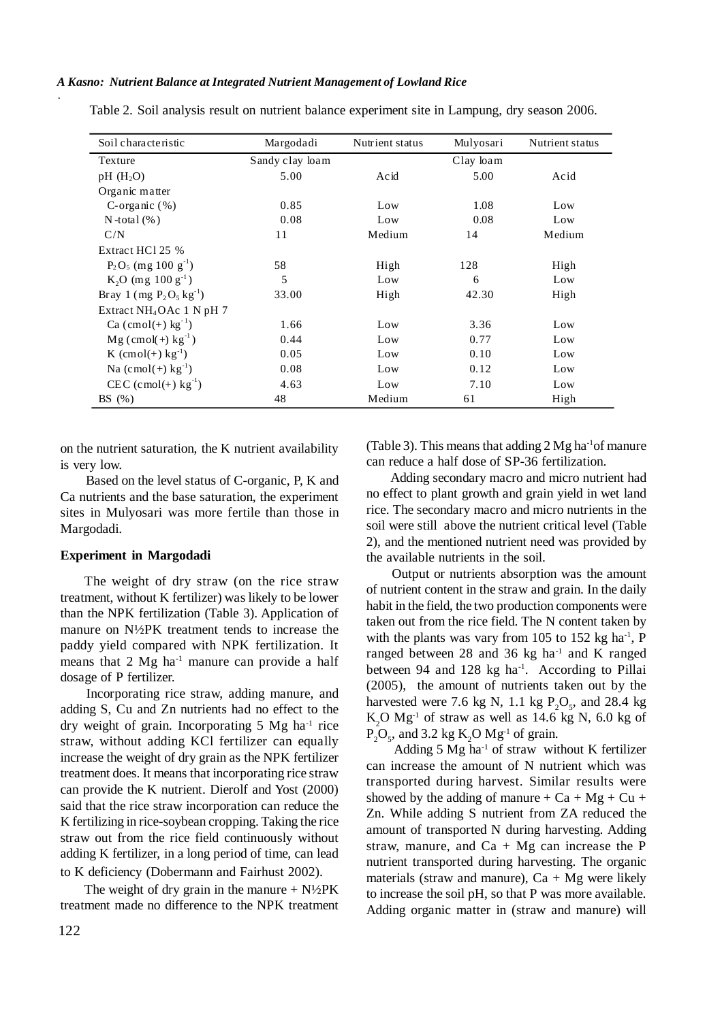| Soil characteristic                | Margodadi       | Nutrient status | Mulyosari | Nutrient status |
|------------------------------------|-----------------|-----------------|-----------|-----------------|
| Texture                            | Sandy clay loam |                 | Clay loam |                 |
| $pH$ (H <sub>2</sub> O)            | 5.00            | Acid            | 5.00      | Acid            |
| Organic matter                     |                 |                 |           |                 |
| C-organic $(\%)$                   | 0.85            | Low             | 1.08      | Low             |
| N-total $(\% )$                    | 0.08            | Low             | 0.08      | Low             |
| C/N                                | 11              | Medium          | 14        | Medium          |
| Extract HCl 25 %                   |                 |                 |           |                 |
| $P_2O_5$ (mg 100 g <sup>-1</sup> ) | 58              | High            | 128       | High            |
| $K_2O$ (mg 100 g <sup>-1</sup> )   | 5               | Low             | 6         | Low             |
| Bray 1 (mg $P_2O_5 kg^{-1}$ )      | 33.00           | High            | 42.30     | High            |
| Extract $NH4OAC$ 1 N pH 7          |                 |                 |           |                 |
| $Ca (cmol(+) kg^{-1})$             | 1.66            | Low             | 3.36      | Low             |
| $Mg (cmol(+) kg^{-1})$             | 0.44            | Low             | 0.77      | Low             |
| K $(cmol(+) kg^{-1})$              | 0.05            | Low             | 0.10      | Low             |
| Na $(c \mod(+) \text{ kg}^{-1})$   | 0.08            | Low             | 0.12      | Low             |
| $CEC (cmol(+) kg-1)$               | 4.63            | Low             | 7.10      | Low             |
| BS(%)                              | 48              | Medium          | 61        | High            |

Table 2. Soil analysis result on nutrient balance experiment site in Lampung, dry season 2006.

on the nutrient saturation, the K nutrient availability is very low.

Based on the level status of C-organic, P, K and Ca nutrients and the base saturation, the experiment sites in Mulyosari was more fertile than those in Margodadi.

## **Experiment in Margodadi**

The weight of dry straw (on the rice straw treatment, without K fertilizer) was likely to be lower than the NPK fertilization (Table 3). Application of manure on N½PK treatment tends to increase the paddy yield compared with NPK fertilization. It means that  $2 \text{ Mg} \text{ ha}^{-1}$  manure can provide a half dosage of P fertilizer.

Incorporating rice straw, adding manure, and adding S, Cu and Zn nutrients had no effect to the dry weight of grain. Incorporating 5 Mg ha-1 rice straw, without adding KCl fertilizer can equally increase the weight of dry grain as the NPK fertilizer treatment does. It means that incorporating rice straw can provide the K nutrient. Dierolf and Yost (2000) said that the rice straw incorporation can reduce the K fertilizing in rice-soybean cropping. Taking the rice straw out from the rice field continuously without adding K fertilizer, in a long period of time, can lead to K deficiency (Dobermann and Fairhust 2002).

The weight of dry grain in the manure  $+ N\frac{1}{2}PK$ treatment made no difference to the NPK treatment (Table 3). This means that adding 2 Mg ha-1of manure can reduce a half dose of SP-36 fertilization.

Adding secondary macro and micro nutrient had no effect to plant growth and grain yield in wet land rice. The secondary macro and micro nutrients in the soil were still above the nutrient critical level (Table 2), and the mentioned nutrient need was provided by the available nutrients in the soil.

Output or nutrients absorption was the amount of nutrient content in the straw and grain. In the daily habit in the field, the two production components were taken out from the rice field. The N content taken by with the plants was vary from 105 to 152 kg ha $^{-1}$ , P ranged between 28 and 36 kg ha<sup>-1</sup> and K ranged between 94 and 128 kg ha<sup>-1</sup>. According to Pillai (2005), the amount of nutrients taken out by the harvested were 7.6 kg N, 1.1 kg  $P_2O_5$ , and 28.4 kg  $K_2O$  Mg<sup>-1</sup> of straw as well as 14.6 kg N, 6.0 kg of  $P_2O_5$ , and 3.2 kg  $K_2O Mg<sup>-1</sup>$  of grain.

Adding 5  $Mg$  ha<sup>-1</sup> of straw without K fertilizer can increase the amount of N nutrient which was transported during harvest. Similar results were showed by the adding of manure +  $Ca + Mg + Cu +$ Zn. While adding S nutrient from ZA reduced the amount of transported N during harvesting. Adding straw, manure, and  $Ca + Mg$  can increase the P nutrient transported during harvesting. The organic materials (straw and manure),  $Ca + Mg$  were likely to increase the soil pH, so that P was more available. Adding organic matter in (straw and manure) will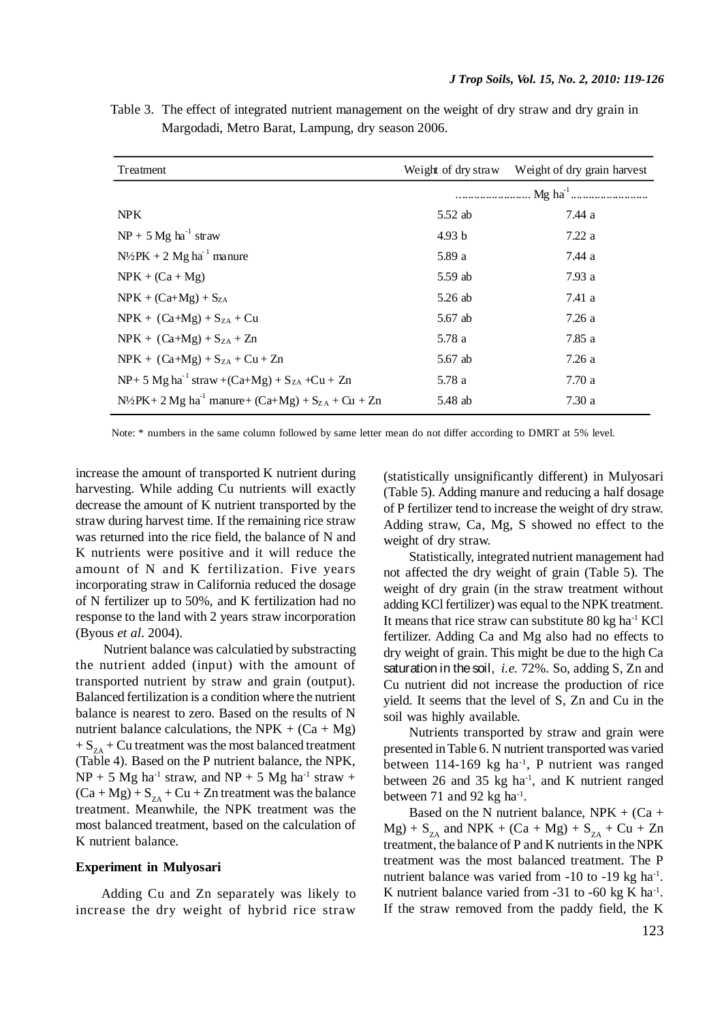| Treatment                                                                     | Weight of dry straw | Weight of dry grain harvest |
|-------------------------------------------------------------------------------|---------------------|-----------------------------|
|                                                                               |                     |                             |
| NPK.                                                                          | 5.52 ab             | 7.44 a                      |
| $NP + 5 Mg ha^{-1} straw$                                                     | 4.93 b              | 7.22a                       |
| $N\frac{1}{2}PK + 2 Mg h a^1$ manure                                          | 5.89 a              | 7.44 a                      |
| $NPK + (Ca + Mg)$                                                             | 5.59 ab             | 7.93 a                      |
| $NPK + (Ca+Mg) + SZA$                                                         | $5.26$ ab           | 7.41 a                      |
| $NPK + (Ca+Mg) + SZA + Cu$                                                    | 5.67 ab             | 7.26 a                      |
| $NPK + (Ca+Mg) + S_{ZA} + Zn$                                                 | 5.78 a              | 7.85 a                      |
| $NPK + (Ca+Mg) + SZA + Cu + Zn$                                               | 5.67 ab             | 7.26 a                      |
| $NP+ 5 Mg ha^{-1} straw + (Ca+Mg) + SZA + Cu + Zn$                            | 5.78 a              | 7.70 a                      |
| $N\frac{1}{2}PK + 2 Mg$ ha <sup>-1</sup> manure+ (Ca+Mg) + $S_{ZA}$ + Cu + Zn | 5.48 ab             | 7.30 a                      |

Table 3. The effect of integrated nutrient management on the weight of dry straw and dry grain in Margodadi, Metro Barat, Lampung, dry season 2006.

Note: \* numbers in the same column followed by same letter mean do not differ according to DMRT at 5% level.

increase the amount of transported K nutrient during harvesting. While adding Cu nutrients will exactly decrease the amount of K nutrient transported by the straw during harvest time. If the remaining rice straw was returned into the rice field, the balance of N and K nutrients were positive and it will reduce the amount of N and K fertilization. Five years incorporating straw in California reduced the dosage of N fertilizer up to 50%, and K fertilization had no response to the land with 2 years straw incorporation (Byous *et al*. 2004).

Nutrient balance was calculatied by substracting the nutrient added (input) with the amount of transported nutrient by straw and grain (output). Balanced fertilization is a condition where the nutrient balance is nearest to zero. Based on the results of N nutrient balance calculations, the NPK +  $(Ca + Mg)$  $+ S_{7A} + Cu$  treatment was the most balanced treatment (Table 4). Based on the P nutrient balance, the NPK,  $NP + 5 Mg$  ha<sup>-1</sup> straw, and  $NP + 5 Mg$  ha<sup>-1</sup> straw +  $(Ca + Mg) + S_{7A} + Cu + Zn$  treatment was the balance treatment. Meanwhile, the NPK treatment was the most balanced treatment, based on the calculation of K nutrient balance.

### **Experiment in Mulyosari**

Adding Cu and Zn separately was likely to increase the dry weight of hybrid rice straw

(statistically unsignificantly different) in Mulyosari (Table 5). Adding manure and reducing a half dosage of P fertilizer tend to increase the weight of dry straw. Adding straw, Ca, Mg, S showed no effect to the weight of dry straw.

Statistically, integrated nutrient management had not affected the dry weight of grain (Table 5). The weight of dry grain (in the straw treatment without adding KCl fertilizer) was equal to the NPK treatment. It means that rice straw can substitute 80 kg ha-1 KCl fertilizer. Adding Ca and Mg also had no effects to dry weight of grain. This might be due to the high Ca saturation in the soil, *i.e.* 72%. So, adding S, Zn and Cu nutrient did not increase the production of rice yield. It seems that the level of S, Zn and Cu in the soil was highly available.

Nutrients transported by straw and grain were presented in Table 6. N nutrient transported was varied between 114-169 kg ha<sup>-1</sup>, P nutrient was ranged between 26 and 35 kg ha<sup>-1</sup>, and K nutrient ranged between  $71$  and  $92$  kg ha<sup>-1</sup>.

Based on the N nutrient balance,  $NPK + (Ca +$  $Mg$ ) +  $S_{7A}$  and NPK + (Ca + Mg) +  $S_{7A}$  + Cu + Zn treatment, the balance of P and K nutrients in the NPK treatment was the most balanced treatment. The P nutrient balance was varied from -10 to -19 kg ha<sup>-1</sup>. K nutrient balance varied from  $-31$  to  $-60$  kg K ha<sup>-1</sup>. If the straw removed from the paddy field, the K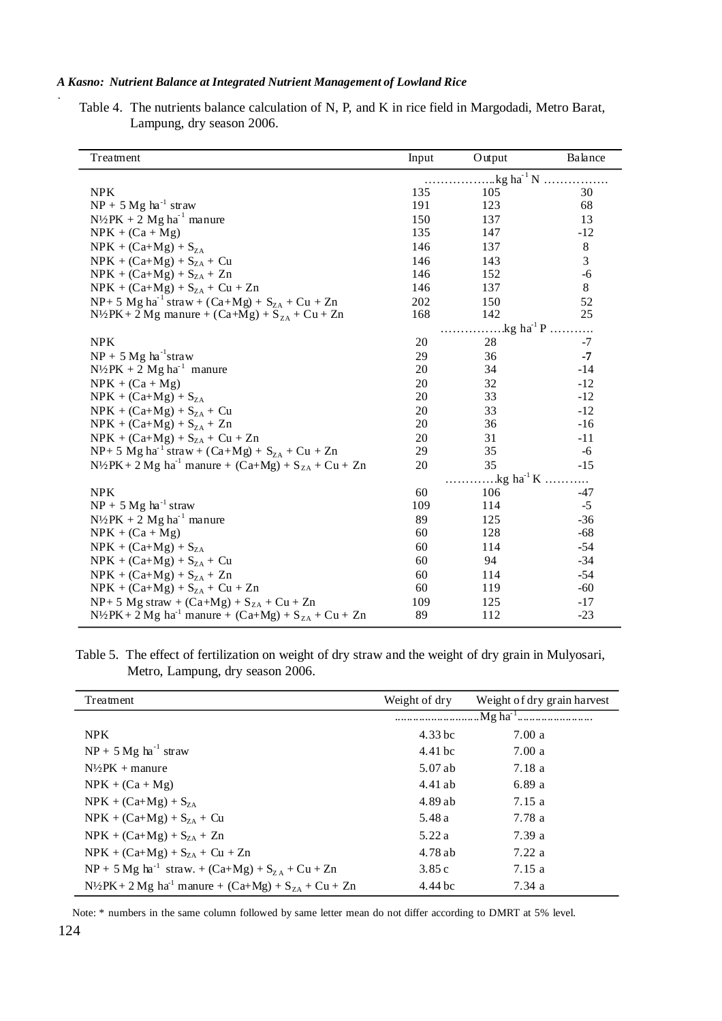Table 4. The nutrients balance calculation of N, P, and K in rice field in Margodadi, Metro Barat, Lampung, dry season 2006.

| Treatment                                                                        | Input                                                       | Output                    | Balance |  |  |
|----------------------------------------------------------------------------------|-------------------------------------------------------------|---------------------------|---------|--|--|
|                                                                                  | $kg$ ha <sup>-1</sup> N                                     |                           |         |  |  |
| <b>NPK</b>                                                                       | 135                                                         | 105                       | 30      |  |  |
| $NP + 5 Mg ha^{-1} straw$                                                        | 191                                                         | 123                       | 68      |  |  |
| $N\frac{1}{2}PK + 2 Mg ha^{-1}$ manure                                           | 150                                                         | 137                       | 13      |  |  |
| $NPK + (Ca + Mg)$                                                                | 135                                                         | 147                       | $-12$   |  |  |
| $NPK + (Ca+Mg) + SZA$                                                            | 146                                                         | 137                       | $\,8\,$ |  |  |
| $NPK + (Ca+Mg) + SZA + Cu$                                                       | 146                                                         | 143                       | 3       |  |  |
| $NPK + (Ca+Mg) + SZA + Zn$                                                       | 146                                                         | 152                       | $-6$    |  |  |
| $NPK + (Ca+Mg) + S_{ZA} + Cu + Zn$                                               | 146                                                         | 137                       | 8       |  |  |
| NP+ 5 Mg ha <sup>-1</sup> straw + (Ca+Mg) + $S_{ZA}$ + Cu + Zn                   | 202                                                         | 150                       | 52      |  |  |
| $N\frac{1}{2}PK + 2 Mg$ manure + $(Ca+Mg) + S_{ZA} + Cu + Zn$                    | 168                                                         | 142                       | 25      |  |  |
|                                                                                  |                                                             | $\text{kg ha}^1 \text{P}$ |         |  |  |
| <b>NPK</b>                                                                       | 20                                                          | 28                        | $-7$    |  |  |
| $NP + 5 Mg ha^{-1}$ straw                                                        | 29                                                          | 36                        | $-7$    |  |  |
| $N\frac{1}{2}PK + 2 Mg h a^{-1}$ manure                                          | 20                                                          | 34                        | $-14$   |  |  |
| $NPK + (Ca + Mg)$                                                                | 20                                                          | 32                        | $-12$   |  |  |
| $NPK + (Ca+Mg) + SZA$                                                            | 20                                                          | 33                        | $-12$   |  |  |
| $NPK + (Ca+Mg) + SZA + Cu$                                                       | 20                                                          | 33                        | $-12$   |  |  |
| $NPK + (Ca+Mg) + S_{ZA} + Zn$                                                    | 20                                                          | 36                        | $-16$   |  |  |
| $NPK + (Ca+Mg) + SZA + Cu + Zn$                                                  | 20                                                          | 31                        | $-11$   |  |  |
| NP+ 5 Mg ha <sup>-1</sup> straw + (Ca+Mg) + $S_{ZA}$ + Cu + Zn                   | 29                                                          | 35                        | $-6$    |  |  |
| $N^{1/2}PK + 2 Mg ha^{-1}$ manure + $(Ca+Mg) + S_{ZA} + Cu + Zn$                 | 20                                                          | 35                        | $-15$   |  |  |
|                                                                                  | $\ldots \ldots \ldots$ kg ha <sup>1</sup> K $\ldots \ldots$ |                           |         |  |  |
| <b>NPK</b>                                                                       | 60                                                          | 106                       | $-47$   |  |  |
| $NP + 5 Mg ha^{-1} straw$                                                        | 109                                                         | 114                       | $-5$    |  |  |
| $N\frac{1}{2}PK + 2 Mg ha^{-1}$ manure                                           | 89                                                          | 125                       | $-36$   |  |  |
| $NPK + (Ca + Mg)$                                                                | 60                                                          | 128                       | $-68$   |  |  |
| $NPK + (Ca+Mg) + S_{ZA}$                                                         | 60                                                          | 114                       | $-54$   |  |  |
| $NPK + (Ca+Mg) + SZA + Cu$                                                       | 60                                                          | 94                        | $-34$   |  |  |
| $NPK + (Ca+Mg) + S_{ZA} + Zn$                                                    | 60                                                          | 114                       | $-54$   |  |  |
| $NPK + (Ca+Mg) + SZA + Cu + Zn$                                                  | 60                                                          | 119                       | $-60$   |  |  |
| $NP+ 5 Mg$ straw + $(Ca+Mg) + SZA + Cu + Zn$                                     | 109                                                         | 125                       | $-17$   |  |  |
| $N^{1/2}PK + 2 Mg$ ha <sup>-1</sup> manure + (Ca+Mg) + S <sub>ZA</sub> + Cu + Zn | 89                                                          | 112                       | $-23$   |  |  |

Table 5. The effect of fertilization on weight of dry straw and the weight of dry grain in Mulyosari, Metro, Lampung, dry season 2006.

| Treatment                                                                      | Weight of dry | Weight of dry grain harvest |  |
|--------------------------------------------------------------------------------|---------------|-----------------------------|--|
|                                                                                |               |                             |  |
| <b>NPK</b>                                                                     | $4.33$ bc     | 7.00a                       |  |
| $NP + 5 Mg ha^{-1} straw$                                                      | 4.41 bc       | 7.00a                       |  |
| $N\frac{1}{2}PK +$ manure                                                      | 5.07 ab       | 7.18 a                      |  |
| $NPK + (Ca + Mg)$                                                              | 4.41ab        | 6.89a                       |  |
| $NPK + (Ca+Mg) + SZA$                                                          | 4.89ab        | 7.15a                       |  |
| $NPK + (Ca+Mg) + S_{7A} + Cu$                                                  | 5.48 a        | 7.78 a                      |  |
| $NPK + (Ca+Mg) + SZA + Zn$                                                     | 5.22a         | 7.39 a                      |  |
| $NPK + (Ca+Mg) + S_{ZA} + Cu + Zn$                                             | 4.78 ab       | 7.22a                       |  |
| $NP + 5 Mg ha^{-1} straw. + (Ca+Mg) + S_{7A} + Cu + Zn$                        | 3.85c         | 7.15a                       |  |
| $N\frac{1}{2}PK + 2 Mg$ ha <sup>-1</sup> manure + $(Ca+Mg) + S_{7A} + Cu + Zn$ | 4.44 bc       | 7.34a                       |  |

Note: \* numbers in the same column followed by same letter mean do not differ according to DMRT at 5% level.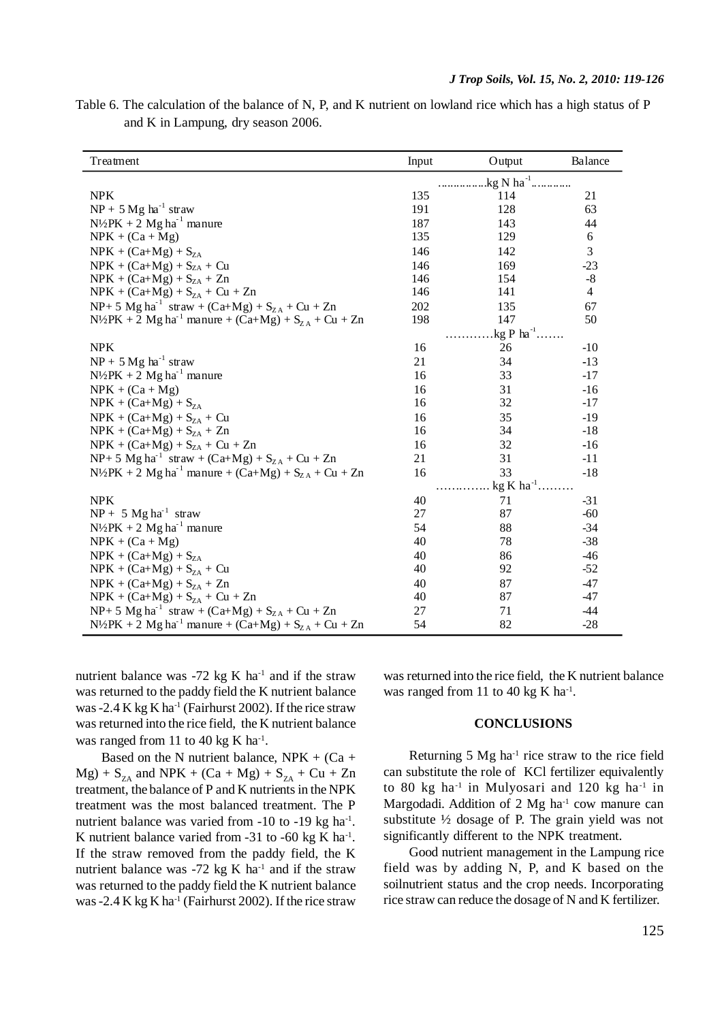| Table 6. The calculation of the balance of N, P, and K nutrient on lowland rice which has a high status of P |  |  |  |  |  |
|--------------------------------------------------------------------------------------------------------------|--|--|--|--|--|
| and K in Lampung, dry season 2006.                                                                           |  |  |  |  |  |

| Treatment                                                              | Input                  | Output                  | Balance |
|------------------------------------------------------------------------|------------------------|-------------------------|---------|
|                                                                        | .kg N ha <sup>-1</sup> |                         |         |
| <b>NPK</b>                                                             | 135                    | 114                     | 21      |
| $NP + 5 Mg ha^{-1}$ straw                                              | 191                    | 128                     | 63      |
| $N\frac{1}{2}PK + 2 Mg ha^{-1}$ manure                                 | 187                    | 143                     | 44      |
| $NPK + (Ca + Mg)$                                                      | 135                    | 129                     | 6       |
| $NPK + (Ca+Mg) + SZA$                                                  | 146                    | 142                     | 3       |
| $NPK + (Ca+Mg) + SZA + Cu$                                             | 146                    | 169                     | $-23$   |
| $NPK + (Ca+Mg) + SZA + Zn$                                             | 146                    | 154                     | $-8$    |
| $NPK + (Ca+Mg) + SZA + Cu + Zn$                                        | 146                    | 141                     | 4       |
| NP+ 5 Mg ha <sup>-1</sup> straw + (Ca+Mg) + $S_{ZA}$ + Cu + Zn         | 202                    | 135                     | 67      |
| $N\frac{1}{2}PK + 2 Mg ha^{-1}$ manure + (Ca+Mg) + $S_{ZA}$ + Cu + Zn  | 198                    | 147                     | 50      |
|                                                                        |                        | .kg P $ha$ <sup>1</sup> |         |
| <b>NPK</b>                                                             | 16                     | 26                      | $-10$   |
| $NP + 5 Mg ha^{-1}$ straw                                              | 21                     | 34                      | $-13$   |
| $N\frac{1}{2}PK + 2 Mg h a^{-1}$ manure                                | 16                     | 33                      | $-17$   |
| $NPK + (Ca + Mg)$                                                      | 16                     | 31                      | $-16$   |
| $NPK + (Ca+Mg) + SZA$                                                  | 16                     | 32                      | $-17$   |
| $NPK + (Ca+Mg) + S_{ZA} + Cu$                                          | 16                     | 35                      | $-19$   |
| $NPK + (Ca+Mg) + SZA + Zn$                                             | 16                     | 34                      | $-18$   |
| $NPK + (Ca+Mg) + SZA + Cu + Zn$                                        | 16                     | 32                      | $-16$   |
| $NP + 5 Mg ha^{-1} straw + (Ca+Mg) + S_{ZA} + Cu + Zn$                 | 21                     | 31                      | $-11$   |
| $N\frac{1}{2}PK + 2 Mg ha^{-1}$ manure + $(Ca+Mg) + S_{ZA} + Cu + Zn$  | 16                     | 33                      | $-18$   |
|                                                                        | $kg K ha^{-1}$ .       |                         |         |
| <b>NPK</b>                                                             | 40                     | 71                      | $-31$   |
| $NP + 5 Mg ha-1$ straw                                                 | 27                     | 87                      | $-60$   |
| $N\frac{1}{2}PK + 2 Mg ha^{-1}$ manure                                 | 54                     | 88                      | $-34$   |
| $NPK + (Ca + Mg)$                                                      | 40                     | 78                      | $-38$   |
| $NPK + (Ca+Mg) + S_{ZA}$                                               | 40                     | 86                      | $-46$   |
| $NPK + (Ca+Mg) + SZA + Cu$                                             | 40                     | 92                      | $-52$   |
| $NPK + (Ca+Mg) + SZA + Zn$                                             | 40                     | 87                      | $-47$   |
| $NPK + (Ca+Mg) + S_{ZA} + Cu + Zn$                                     | 40                     | 87                      | $-47$   |
| $NP + 5 Mg ha^{-1} straw + (Ca+Mg) + S_{ZA} + Cu + Zn$                 | 27                     | 71                      | -44     |
| $N\frac{1}{2}PK + 2 Mg h a^{-1}$ manure + $(Ca+Mg) + S_{ZA} + Cu + Zn$ | 54                     | 82                      | $-28$   |

nutrient balance was  $-72$  kg K ha<sup>-1</sup> and if the straw was returned to the paddy field the K nutrient balance was -2.4 K kg K ha<sup>-1</sup> (Fairhurst 2002). If the rice straw was returned into the rice field, the K nutrient balance was ranged from 11 to 40 kg K  $ha^{-1}$ .

Based on the N nutrient balance,  $NPK + (Ca +$  $Mg$ ) + S<sub>zA</sub> and NPK + (Ca + Mg) + S<sub>zA</sub> + Cu + Zn treatment, the balance of P and K nutrients in the NPK treatment was the most balanced treatment. The P nutrient balance was varied from -10 to -19 kg ha<sup>-1</sup>. K nutrient balance varied from  $-31$  to  $-60$  kg K ha<sup>-1</sup>. If the straw removed from the paddy field, the K nutrient balance was  $-72$  kg K ha<sup>-1</sup> and if the straw was returned to the paddy field the K nutrient balance was -2.4 K kg K ha<sup>-1</sup> (Fairhurst 2002). If the rice straw was returned into the rice field, the K nutrient balance was ranged from 11 to 40 kg K ha $^{-1}$ .

## **CONCLUSIONS**

Returning 5 Mg ha-1 rice straw to the rice field can substitute the role of KCl fertilizer equivalently to 80 kg ha-1 in Mulyosari and 120 kg ha-1 in Margodadi. Addition of  $2 \text{ Mg} \text{ ha}^{-1}$  cow manure can substitute ½ dosage of P. The grain yield was not significantly different to the NPK treatment.

Good nutrient management in the Lampung rice field was by adding N, P, and K based on the soilnutrient status and the crop needs. Incorporating rice straw can reduce the dosage of N and K fertilizer.